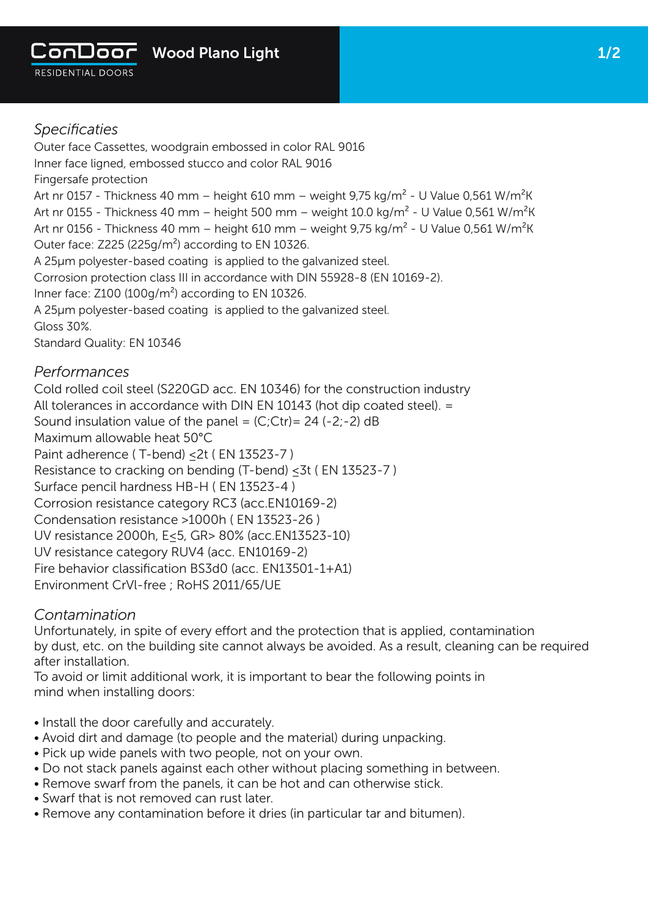

Outer face Cassettes, woodgrain embossed in color RAL 9016 Inner face ligned, embossed stucco and color RAL 9016 Fingersafe protection Art nr 0157 - Thickness 40 mm – height 610 mm – weight 9,75 kg/m<sup>2</sup> - U Value 0,561 W/m<sup>2</sup>K Art nr 0155 - Thickness 40 mm – height 500 mm – weight 10.0 kg/m<sup>2</sup> - U Value 0,561 W/m<sup>2</sup>K Art nr 0156 - Thickness 40 mm – height 610 mm – weight 9,75 kg/m<sup>2</sup> - U Value 0,561 W/m<sup>2</sup>K Outer face: Z225 (225g/m²) according to EN 10326. A 25µm polyester-based coating is applied to the galvanized steel. Corrosion protection class III in accordance with DIN 55928-8 (EN 10169-2). Inner face: Z100 (100g/m<sup>2</sup>) according to EN 10326. A 25µm polyester-based coating is applied to the galvanized steel. Gloss 30%. Standard Quality: EN 10346

## *Performances*

Cold rolled coil steel (S220GD acc. EN 10346) for the construction industry All tolerances in accordance with DIN EN 10143 (hot dip coated steel). = Sound insulation value of the panel =  $(C;)$ Ctr) = 24 (-2;-2) dB Maximum allowable heat 50°C Paint adherence (T-bend) < 2t ( EN 13523-7 ) Resistance to cracking on bending (T-bend) ≤3t ( EN 13523-7 ) Surface pencil hardness HB-H ( EN 13523-4 ) Corrosion resistance category RC3 (acc.EN10169-2) Condensation resistance >1000h ( EN 13523-26 ) UV resistance 2000h, E≤5, GR> 80% (acc.EN13523-10) UV resistance category RUV4 (acc. EN10169-2) Fire behavior classification BS3d0 (acc. EN13501-1+A1) Environment CrVl-free ; RoHS 2011/65/UE

## *Contamination*

Unfortunately, in spite of every effort and the protection that is applied, contamination by dust, etc. on the building site cannot always be avoided. As a result, cleaning can be required after installation.

To avoid or limit additional work, it is important to bear the following points in mind when installing doors:

- Install the door carefully and accurately.
- Avoid dirt and damage (to people and the material) during unpacking.
- Pick up wide panels with two people, not on your own.
- Do not stack panels against each other without placing something in between.
- Remove swarf from the panels, it can be hot and can otherwise stick.
- Swarf that is not removed can rust later.
- Remove any contamination before it dries (in particular tar and bitumen).